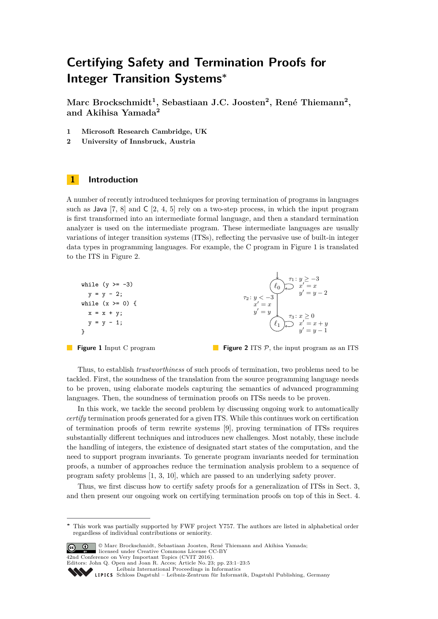# **Certifying Safety and Termination Proofs for Integer Transition Systems<sup>∗</sup>**

**Marc Brockschmidt<sup>1</sup> , Sebastiaan J.C. Joosten<sup>2</sup> , René Thiemann<sup>2</sup> , and Akihisa Yamada<sup>2</sup>**

- **1 Microsoft Research Cambridge, UK**
- **2 University of Innsbruck, Austria**

## **1 Introduction**

A number of recently introduced techniques for proving termination of programs in languages such as Java [\[7,](#page-4-0) [8\]](#page-4-1) and C [\[2,](#page-4-2) [4,](#page-4-3) [5\]](#page-4-4) rely on a two-step process, in which the input program is first transformed into an intermediate formal language, and then a standard termination analyzer is used on the intermediate program. These intermediate languages are usually variations of integer transition systems (ITSs), reflecting the pervasive use of built-in integer data types in programming languages. For example, the C program in Figure [1](#page-0-0) is translated to the ITS in Figure [2.](#page-0-0)

<span id="page-0-0"></span>

**Figure 1** Input C program

```
Figure 2 ITS \mathcal{P}, the input program as an ITS
```
Thus, to establish *trustworthiness* of such proofs of termination, two problems need to be tackled. First, the soundness of the translation from the source programming language needs to be proven, using elaborate models capturing the semantics of advanced programming languages. Then, the soundness of termination proofs on ITSs needs to be proven.

In this work, we tackle the second problem by discussing ongoing work to automatically *certify* termination proofs generated for a given ITS. While this continues work on certification of termination proofs of term rewrite systems [\[9\]](#page-4-5), proving termination of ITSs requires substantially different techniques and introduces new challenges. Most notably, these include the handling of integers, the existence of designated start states of the computation, and the need to support program invariants. To generate program invariants needed for termination proofs, a number of approaches reduce the termination analysis problem to a sequence of program safety problems [\[1,](#page-4-6) [3,](#page-4-7) [10\]](#page-4-8), which are passed to an underlying safety prover.

Thus, we first discuss how to certify safety proofs for a generalization of ITSs in Sect. [3,](#page-1-0) and then present our ongoing work on certifying termination proofs on top of this in Sect. [4.](#page-3-0)

**<sup>∗</sup>** This work was partially supported by FWF project Y757. The authors are listed in alphabetical order regardless of individual contributions or seniority.

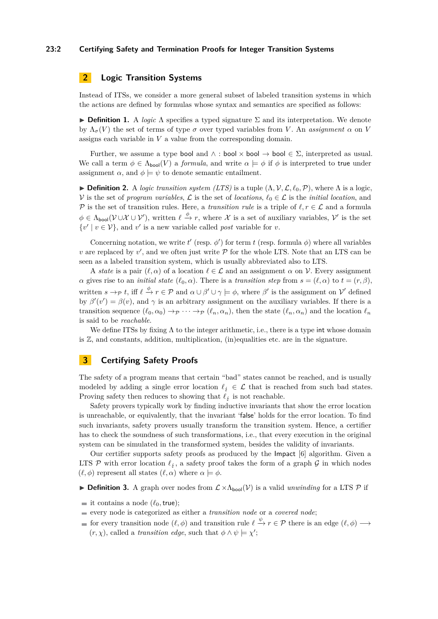#### **23:2 Certifying Safety and Termination Proofs for Integer Transition Systems**

# **2 Logic Transition Systems**

Instead of ITSs, we consider a more general subset of labeled transition systems in which the actions are defined by formulas whose syntax and semantics are specified as follows:

**Definition 1.** A *logic*  $\Lambda$  specifies a typed signature  $\Sigma$  and its interpretation. We denote by  $\Lambda_{\sigma}(V)$  the set of terms of type  $\sigma$  over typed variables from *V*. An *assignment*  $\alpha$  on *V* assigns each variable in *V* a value from the corresponding domain.

Further, we assume a type bool and  $\land$ : bool  $\times$  bool  $\Rightarrow$  bool  $\in \Sigma$ , interpreted as usual. We call a term  $\phi \in \Lambda_{\text{bool}}(V)$  a *formula*, and write  $\alpha \models \phi$  if  $\phi$  is interpreted to true under assignment  $\alpha$ , and  $\phi \models \psi$  to denote semantic entailment.

**Definition 2.** A *logic transition system (LTS)* is a tuple  $(\Lambda, \mathcal{V}, \mathcal{L}, \ell_0, \mathcal{P})$ , where  $\Lambda$  is a logic, V is the set of *program variables*,  $\mathcal{L}$  is the set of *locations*,  $\ell_0 \in \mathcal{L}$  is the *initial location*, and P is the set of transition rules. Here, a *transition rule* is a triple of  $\ell, r \in \mathcal{L}$  and a formula  $\phi \in \Lambda_{\text{bool}}(\mathcal{V} \cup \mathcal{X} \cup \mathcal{V}')$ , written  $\ell \stackrel{\phi}{\to} r$ , where X is a set of auxiliary variables, V' is the set  $\{v' \mid v \in V\}$ , and *v*' is a new variable called *post* variable for *v*.

Concerning notation, we write  $t'$  (resp.  $\phi'$ ) for term  $t$  (resp. formula  $\phi$ ) where all variables *v* are replaced by  $v'$ , and we often just write  $P$  for the whole LTS. Note that an LTS can be seen as a labeled transition system, which is usually abbreviated also to LTS.

A *state* is a pair  $(\ell, \alpha)$  of a location  $\ell \in \mathcal{L}$  and an assignment  $\alpha$  on  $\mathcal{V}$ . Every assignment *α* gives rise to an *initial state* ( $\ell_0, \alpha$ ). There is a *transition step* from  $s = (\ell, \alpha)$  to  $t = (r, \beta)$ , written  $s \to p$  *t*, iff  $\ell \stackrel{\phi}{\to} r \in \mathcal{P}$  and  $\alpha \cup \beta' \cup \gamma \models \phi$ , where  $\beta'$  is the assignment on  $\mathcal{V}'$  defined by  $\beta'(v') = \beta(v)$ , and  $\gamma$  is an arbitrary assignment on the auxiliary variables. If there is a transition sequence  $(\ell_0, \alpha_0) \rightarrow_P \cdots \rightarrow_P (\ell_n, \alpha_n)$ , then the state  $(\ell_n, \alpha_n)$  and the location  $\ell_n$ is said to be *reachable*.

We define ITSs by fixing  $\Lambda$  to the integer arithmetic, i.e., there is a type int whose domain is  $\mathbb{Z}$ , and constants, addition, multiplication, (in)equalities etc. are in the signature.

## <span id="page-1-0"></span>**3 Certifying Safety Proofs**

The safety of a program means that certain "bad" states cannot be reached, and is usually modeled by adding a single error location  $\ell_i \in \mathcal{L}$  that is reached from such bad states. Proving safety then reduces to showing that  $\ell_j$  is not reachable.

Safety provers typically work by finding inductive invariants that show the error location is unreachable, or equivalently, that the invariant 'false' holds for the error location. To find such invariants, safety provers usually transform the transition system. Hence, a certifier has to check the soundness of such transformations, i.e., that every execution in the original system can be simulated in the transformed system, besides the validity of invariants.

Our certifier supports safety proofs as produced by the Impact [\[6\]](#page-4-10) algorithm. Given a LTS P with error location  $\ell_j$ , a safety proof takes the form of a graph G in which nodes  $(\ell, \phi)$  represent all states  $(\ell, \alpha)$  where  $\alpha \models \phi$ .

<span id="page-1-1"></span>**Definition 3.** A graph over nodes from  $\mathcal{L} \times \Lambda_{\text{bool}}(\mathcal{V})$  is a valid *unwinding* for a LTS  $\mathcal{P}$  if

- it contains a node  $(\ell_0, true)$ ;
- every node is categorized as either a *transition node* or a *covered node*;
- for every transition node  $(\ell, \phi)$  and transition rule  $\ell \stackrel{\psi}{\to} r \in \mathcal{P}$  there is an edge  $(\ell, \phi) \longrightarrow$  $(r, \chi)$ , called a *transition edge*, such that  $\phi \wedge \psi \models \chi'$ ;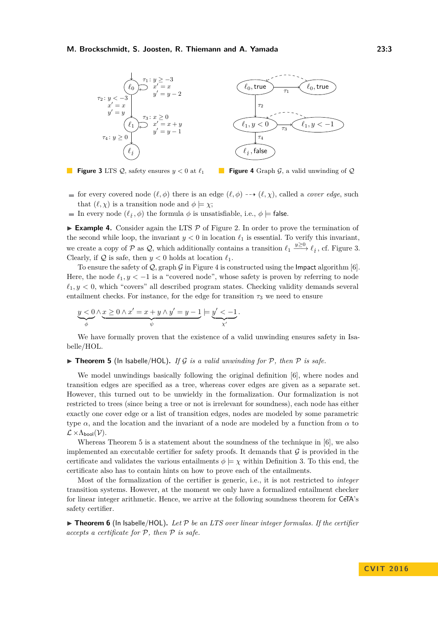#### <span id="page-2-0"></span>**M. Brockschmidt, S. Joosten, R. Thiemann and A. Yamada 23:3**



**Figure 3** LTS  $Q$ , safety ensures  $y < 0$  at  $\ell_1$ 

**Figure 4** Graph G, a valid unwinding of Q

- for every covered node  $(\ell, \phi)$  there is an edge  $(\ell, \phi)$  --+  $(\ell, \chi)$ , called a *cover edge*, such that  $(\ell, \chi)$  is a transition node and  $\phi \models \chi$ ;
- In every node  $(\ell_j, \phi)$  the formula  $\phi$  is unsatisfiable, i.e.,  $\phi \models$  false.

<span id="page-2-2"></span>**Example 4.** Consider again the LTS  $\mathcal{P}$  of Figure [2.](#page-0-0) In order to prove the termination of the second while loop, the invariant  $y < 0$  in location  $\ell_1$  is essential. To verify this invariant, we create a copy of P as Q, which additionally contains a transition  $\ell_1 \xrightarrow{y \geq 0} \ell_i$ , cf. Figure [3.](#page-2-0) Clearly, if  $Q$  is safe, then  $y < 0$  holds at location  $\ell_1$ .

To ensure the safety of  $Q$ , graph  $G$  in Figure [4](#page-2-0) is constructed using the Impact algorithm [\[6\]](#page-4-10). Here, the node  $\ell_1, y < -1$  is a "covered node", whose safety is proven by referring to node  $\ell_1, y < 0$ , which "covers" all described program states. Checking validity demands several entailment checks. For instance, for the edge for transition  $\tau_3$  we need to ensure

$$
\underbrace{y < 0}_{\phi} \wedge \underbrace{x \ge 0 \wedge x' = x + y \wedge y' = y - 1}_{\psi} \models \underbrace{y' < -1}_{x'}.
$$

We have formally proven that the existence of a valid unwinding ensures safety in Isabelle/HOL.

<span id="page-2-1"></span> $\triangleright$  **Theorem 5** (In Isabelle/HOL). If G is a valid unwinding for P, then P is safe.

We model unwindings basically following the original definition [\[6\]](#page-4-10), where nodes and transition edges are specified as a tree, whereas cover edges are given as a separate set. However, this turned out to be unwieldy in the formalization. Our formalization is not restricted to trees (since being a tree or not is irrelevant for soundness), each node has either exactly one cover edge or a list of transition edges, nodes are modeled by some parametric type  $\alpha$ , and the location and the invariant of a node are modeled by a function from  $\alpha$  to  $\mathcal{L} \times \Lambda_{\text{bool}}(\mathcal{V}).$ 

Whereas Theorem [5](#page-2-1) is a statement about the soundness of the technique in [\[6\]](#page-4-10), we also implemented an executable certifier for safety proofs. It demands that  $\mathcal G$  is provided in the certificate and validates the various entailments  $\phi \models \chi$  within Definition [3.](#page-1-1) To this end, the certificate also has to contain hints on how to prove each of the entailments.

Most of the formalization of the certifier is generic, i.e., it is not restricted to *integer* transition systems. However, at the moment we only have a formalized entailment checker for linear integer arithmetic. Hence, we arrive at the following soundness theorem for CeTA's safety certifier.

 $\triangleright$  **Theorem 6** (In Isabelle/HOL). Let P be an LTS over linear integer formulas. If the certifier *accepts a certificate for* P*, then* P *is safe.*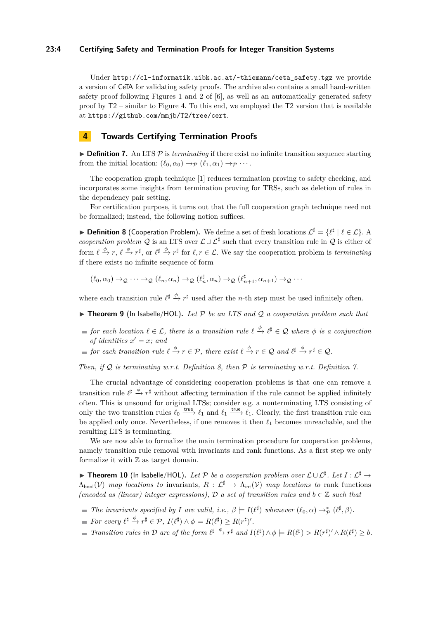### **23:4 Certifying Safety and Termination Proofs for Integer Transition Systems**

Under http://cl-informatik.uibk.ac.at/~thiemann/ceta safety.tgz we provide a version of CeTA for validating safety proofs. The archive also contains a small hand-written safety proof following Figures 1 and 2 of [\[6\]](#page-4-10), as well as an automatically generated safety proof by T2 – similar to Figure [4.](#page-2-0) To this end, we employed the T2 version that is available at <https://github.com/mmjb/T2/tree/cert>.

## <span id="page-3-0"></span>**4 Towards Certifying Termination Proofs**

<span id="page-3-2"></span>**Definition 7.** An LTS  $\mathcal{P}$  is *terminating* if there exist no infinite transition sequence starting from the initial location:  $(\ell_0, \alpha_0) \rightarrow_{\mathcal{P}} (\ell_1, \alpha_1) \rightarrow_{\mathcal{P}} \cdots$ .

The cooperation graph technique [\[1\]](#page-4-6) reduces termination proving to safety checking, and incorporates some insights from termination proving for TRSs, such as deletion of rules in the dependency pair setting.

For certification purpose, it turns out that the full cooperation graph technique need not be formalized; instead, the following notion suffices.

<span id="page-3-1"></span>▶ **Definition 8** (Cooperation Problem). We define a set of fresh locations  $\mathcal{L}^{\sharp} = \{ \ell^{\sharp} \mid \ell \in \mathcal{L} \}$ . A *cooperation problem* Q is an LTS over  $\mathcal{L} \cup \mathcal{L}^{\sharp}$  such that every transition rule in Q is either of form  $\ell \stackrel{\phi}{\to} r, \ell \stackrel{\phi}{\to} r^{\sharp}$ , or  $\ell^{\sharp} \stackrel{\phi}{\to} r^{\sharp}$  for  $\ell, r \in \mathcal{L}$ . We say the cooperation problem is *terminating* if there exists no infinite sequence of form

 $(\ell_0, \alpha_0) \to \mathcal{Q} \cdots \to \mathcal{Q} \ (\ell_n, \alpha_n) \to \mathcal{Q} \ (\ell_n^{\sharp}, \alpha_n) \to \mathcal{Q} \ (\ell_{n+1}^{\sharp}, \alpha_{n+1}) \to \mathcal{Q} \cdots$ 

where each transition rule  $\ell^{\sharp} \stackrel{\phi}{\to} r^{\sharp}$  used after the *n*-th step must be used infinitely often.

- ▶ Theorem 9 (In Isabelle/HOL). Let P be an LTS and Q a cooperation problem such that
- *for each location*  $\ell \in \mathcal{L}$ *, there is a transition rule*  $\ell \stackrel{\phi}{\to} \ell^{\sharp} \in \mathcal{Q}$  where  $\phi$  *is a conjunction of identities*  $x' = x$ *; and*
- *for each transition rule*  $\ell \stackrel{\phi}{\to} r \in \mathcal{P}$ , there exist  $\ell \stackrel{\phi}{\to} r \in \mathcal{Q}$  and  $\ell^{\sharp} \stackrel{\phi}{\to} r^{\sharp} \in \mathcal{Q}$ .

*Then, if* Q *is terminating w.r.t. Definition [8,](#page-3-1) then* P *is terminating w.r.t. Definition [7.](#page-3-2)*

The crucial advantage of considering cooperation problems is that one can remove a transition rule  $\ell^{\sharp} \xrightarrow{\phi} r^{\sharp}$  without affecting termination if the rule cannot be applied infinitely often. This is unsound for original LTSs; consider e.g. a nonterminating LTS consisting of only the two transition rules  $\ell_0 \stackrel{\text{true}}{\longrightarrow} \ell_1$  and  $\ell_1 \stackrel{\text{true}}{\longrightarrow} \ell_1$ . Clearly, the first transition rule can be applied only once. Nevertheless, if one removes it then  $\ell_1$  becomes unreachable, and the resulting LTS is terminating.

We are now able to formalize the main termination procedure for cooperation problems, namely transition rule removal with invariants and rank functions. As a first step we only formalize it with  $\mathbb Z$  as target domain.

<span id="page-3-3"></span>**► Theorem 10** (In Isabelle/HOL). Let P be a cooperation problem over  $\mathcal{L} \cup \mathcal{L}^{\sharp}$ . Let  $I : \mathcal{L}^{\sharp} \to$  $\Lambda_{\text{bool}}(\mathcal{V})$  *map locations to* invariants,  $R : \mathcal{L}^{\sharp} \to \Lambda_{\text{int}}(\mathcal{V})$  *map locations to* rank functions *(encoded as (linear) integer expressions),*  $D$  *a set of transition rules and*  $b \in \mathbb{Z}$  *such that* 

- *The invariants specified by I* are valid, i.e.,  $\beta \models I(\ell^{\sharp})$  whenever  $(\ell_0, \alpha) \rightarrow_{\mathcal{P}}^* (\ell^{\sharp}, \beta)$ .
- *For every*  $\ell^{\sharp} \xrightarrow{\phi} r^{\sharp} \in \mathcal{P}, I(\ell^{\sharp}) \wedge \phi \models R(\ell^{\sharp}) \geq R(r^{\sharp})'.$
- Transition rules in D are of the form  $\ell^{\sharp} \xrightarrow{\phi} r^{\sharp}$  and  $I(\ell^{\sharp}) \wedge \phi \models R(\ell^{\sharp}) > R(r^{\sharp})' \wedge R(\ell^{\sharp}) \geq b$ .